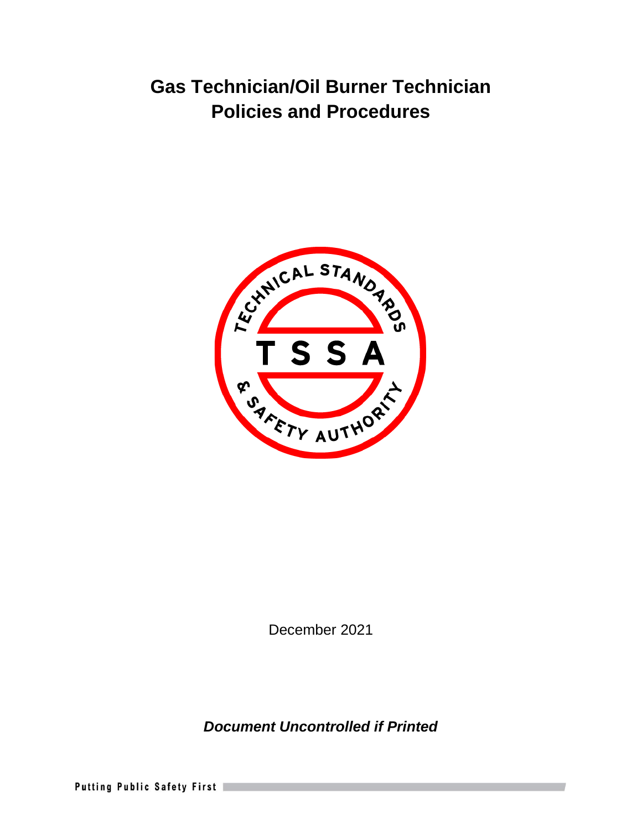

December 2021

*Document Uncontrolled if Printed* 

Putting Public Safety First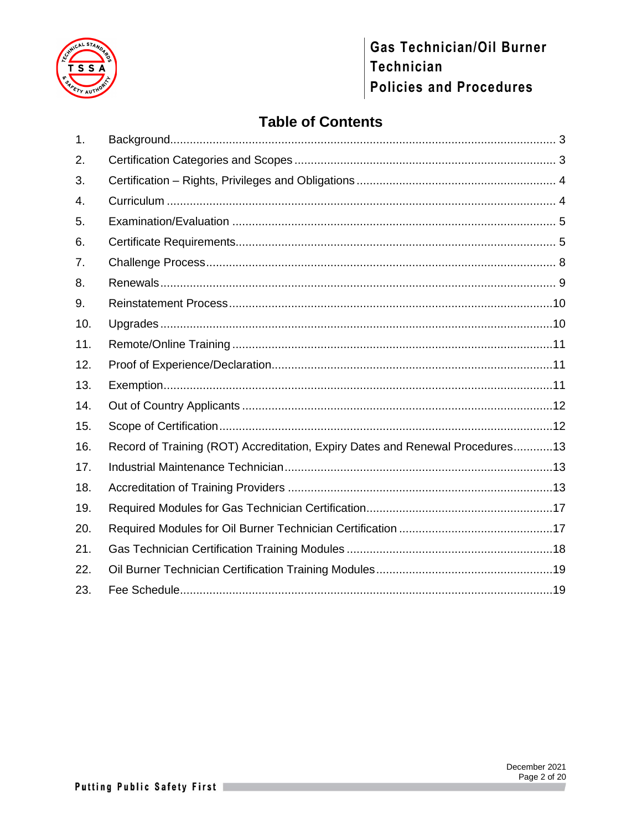

# **Table of Contents**

| 1.             |                                                                               |  |
|----------------|-------------------------------------------------------------------------------|--|
| 2.             |                                                                               |  |
| 3.             |                                                                               |  |
| 4.             |                                                                               |  |
| 5.             |                                                                               |  |
| 6.             |                                                                               |  |
| 7 <sub>1</sub> |                                                                               |  |
| 8.             |                                                                               |  |
| 9.             |                                                                               |  |
| 10.            |                                                                               |  |
| 11.            |                                                                               |  |
| 12.            |                                                                               |  |
| 13.            |                                                                               |  |
| 14.            |                                                                               |  |
| 15.            |                                                                               |  |
| 16.            | Record of Training (ROT) Accreditation, Expiry Dates and Renewal Procedures13 |  |
| 17.            |                                                                               |  |
| 18.            |                                                                               |  |
| 19.            |                                                                               |  |
| 20.            |                                                                               |  |
| 21.            |                                                                               |  |
| 22.            |                                                                               |  |
| 23.            |                                                                               |  |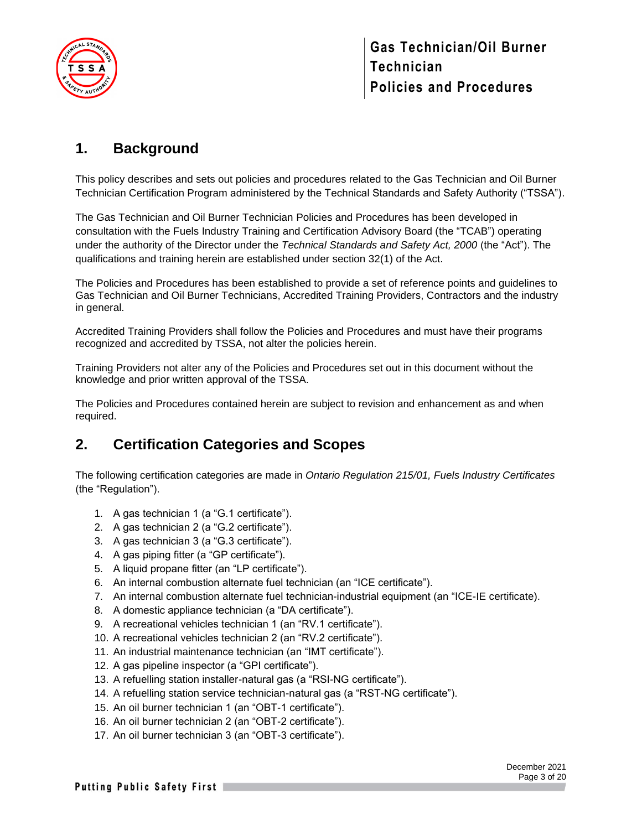

## <span id="page-2-0"></span>**1. Background**

This policy describes and sets out policies and procedures related to the Gas Technician and Oil Burner Technician Certification Program administered by the Technical Standards and Safety Authority ("TSSA").

The Gas Technician and Oil Burner Technician Policies and Procedures has been developed in consultation with the Fuels Industry Training and Certification Advisory Board (the "TCAB") operating under the authority of the Director under the *Technical Standards and Safety Act, 2000* (the "Act"). The qualifications and training herein are established under section 32(1) of the Act.

The Policies and Procedures has been established to provide a set of reference points and guidelines to Gas Technician and Oil Burner Technicians, Accredited Training Providers, Contractors and the industry in general.

Accredited Training Providers shall follow the Policies and Procedures and must have their programs recognized and accredited by TSSA, not alter the policies herein.

Training Providers not alter any of the Policies and Procedures set out in this document without the knowledge and prior written approval of the TSSA.

The Policies and Procedures contained herein are subject to revision and enhancement as and when required.

### <span id="page-2-1"></span>**2. Certification Categories and Scopes**

The following certification categories are made in *Ontario Regulation 215/01, Fuels Industry Certificates* (the "Regulation").

- 1. A gas technician 1 (a "G.1 certificate").
- 2. A gas technician 2 (a "G.2 certificate").
- 3. A gas technician 3 (a "G.3 certificate").
- 4. A gas piping fitter (a "GP certificate").
- 5. A liquid propane fitter (an "LP certificate").
- 6. An internal combustion alternate fuel technician (an "ICE certificate").
- 7. An internal combustion alternate fuel technician-industrial equipment (an "ICE-IE certificate).
- 8. A domestic appliance technician (a "DA certificate").
- 9. A recreational vehicles technician 1 (an "RV.1 certificate").
- 10. A recreational vehicles technician 2 (an "RV.2 certificate").
- 11. An industrial maintenance technician (an "IMT certificate").
- 12. A gas pipeline inspector (a "GPI certificate").
- 13. A refuelling station installer-natural gas (a "RSI-NG certificate").
- 14. A refuelling station service technician-natural gas (a "RST-NG certificate").
- 15. An oil burner technician 1 (an "OBT-1 certificate").
- 16. An oil burner technician 2 (an "OBT-2 certificate").
- 17. An oil burner technician 3 (an "OBT-3 certificate").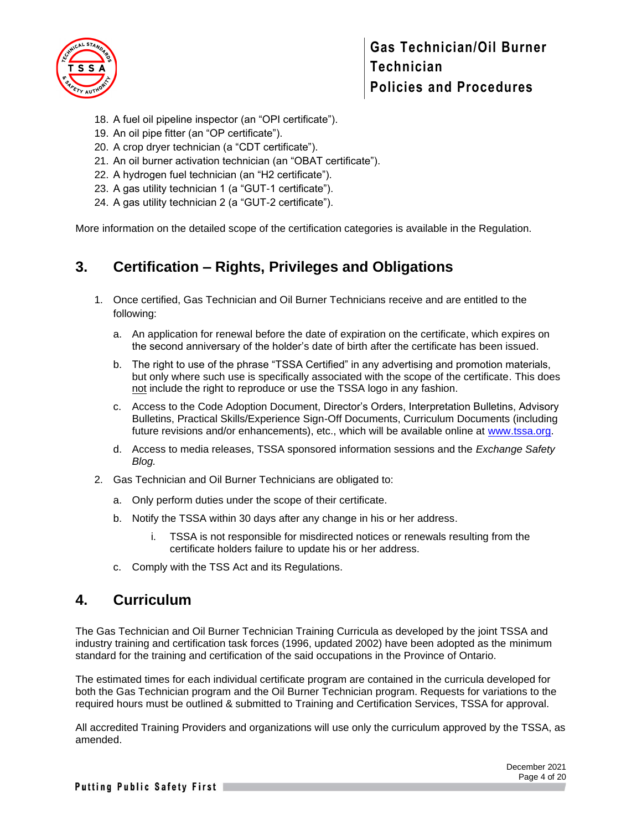

- 18. A fuel oil pipeline inspector (an "OPI certificate").
- 19. An oil pipe fitter (an "OP certificate").
- 20. A crop dryer technician (a "CDT certificate").
- 21. An oil burner activation technician (an "OBAT certificate").
- 22. A hydrogen fuel technician (an "H2 certificate").
- 23. A gas utility technician 1 (a "GUT-1 certificate").
- 24. A gas utility technician 2 (a "GUT-2 certificate").

More information on the detailed scope of the certification categories is available in the Regulation.

### <span id="page-3-0"></span>**3. Certification – Rights, Privileges and Obligations**

- 1. Once certified, Gas Technician and Oil Burner Technicians receive and are entitled to the following:
	- a. An application for renewal before the date of expiration on the certificate, which expires on the second anniversary of the holder's date of birth after the certificate has been issued.
	- b. The right to use of the phrase "TSSA Certified" in any advertising and promotion materials, but only where such use is specifically associated with the scope of the certificate. This does not include the right to reproduce or use the TSSA logo in any fashion.
	- c. Access to the Code Adoption Document, Director's Orders, Interpretation Bulletins, Advisory Bulletins, Practical Skills/Experience Sign-Off Documents, Curriculum Documents (including future revisions and/or enhancements), etc., which will be available online at [www.tssa.org.](http://www.tssa.org/)
	- d. Access to media releases, TSSA sponsored information sessions and the *Exchange Safety Blog.*
- 2. Gas Technician and Oil Burner Technicians are obligated to:
	- a. Only perform duties under the scope of their certificate.
	- b. Notify the TSSA within 30 days after any change in his or her address.
		- i. TSSA is not responsible for misdirected notices or renewals resulting from the certificate holders failure to update his or her address.
	- c. Comply with the TSS Act and its Regulations.

#### <span id="page-3-1"></span>**4. Curriculum**

The Gas Technician and Oil Burner Technician Training Curricula as developed by the joint TSSA and industry training and certification task forces (1996, updated 2002) have been adopted as the minimum standard for the training and certification of the said occupations in the Province of Ontario.

The estimated times for each individual certificate program are contained in the curricula developed for both the Gas Technician program and the Oil Burner Technician program. Requests for variations to the required hours must be outlined & submitted to Training and Certification Services, TSSA for approval.

All accredited Training Providers and organizations will use only the curriculum approved by the TSSA, as amended.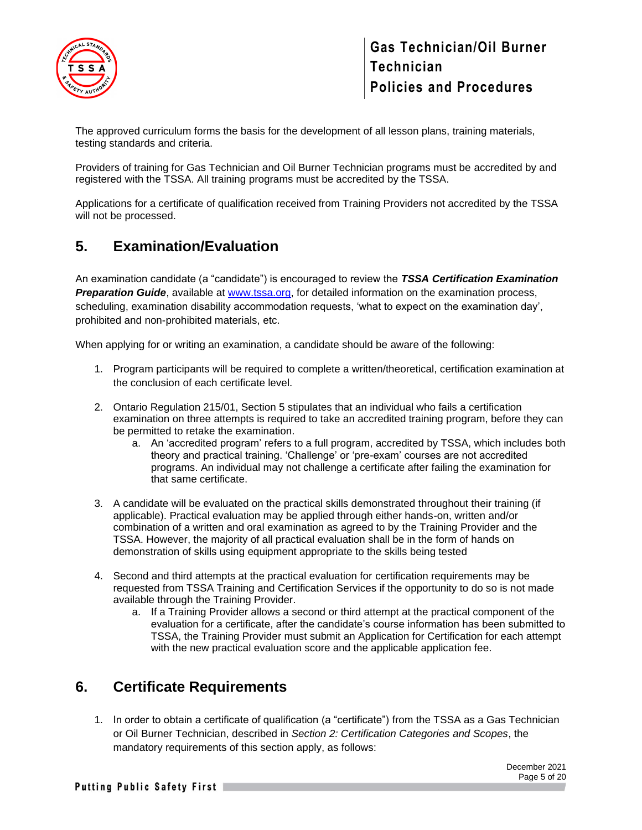

The approved curriculum forms the basis for the development of all lesson plans, training materials, testing standards and criteria.

Providers of training for Gas Technician and Oil Burner Technician programs must be accredited by and registered with the TSSA. All training programs must be accredited by the TSSA.

Applications for a certificate of qualification received from Training Providers not accredited by the TSSA will not be processed.

### <span id="page-4-0"></span>**5. Examination/Evaluation**

An examination candidate (a "candidate") is encouraged to review the *TSSA Certification Examination Preparation Guide*, available at [www.tssa.org,](http://www.tssa.org/) for detailed information on the examination process, scheduling, examination disability accommodation requests, 'what to expect on the examination day', prohibited and non-prohibited materials, etc.

When applying for or writing an examination, a candidate should be aware of the following:

- 1. Program participants will be required to complete a written/theoretical, certification examination at the conclusion of each certificate level.
- 2. Ontario Regulation 215/01, Section 5 stipulates that an individual who fails a certification examination on three attempts is required to take an accredited training program, before they can be permitted to retake the examination.
	- a. An 'accredited program' refers to a full program, accredited by TSSA, which includes both theory and practical training. 'Challenge' or 'pre-exam' courses are not accredited programs. An individual may not challenge a certificate after failing the examination for that same certificate.
- 3. A candidate will be evaluated on the practical skills demonstrated throughout their training (if applicable). Practical evaluation may be applied through either hands-on, written and/or combination of a written and oral examination as agreed to by the Training Provider and the TSSA. However, the majority of all practical evaluation shall be in the form of hands on demonstration of skills using equipment appropriate to the skills being tested
- 4. Second and third attempts at the practical evaluation for certification requirements may be requested from TSSA Training and Certification Services if the opportunity to do so is not made available through the Training Provider.
	- a. If a Training Provider allows a second or third attempt at the practical component of the evaluation for a certificate, after the candidate's course information has been submitted to TSSA, the Training Provider must submit an Application for Certification for each attempt with the new practical evaluation score and the applicable application fee.

### <span id="page-4-1"></span>**6. Certificate Requirements**

1. In order to obtain a certificate of qualification (a "certificate") from the TSSA as a Gas Technician or Oil Burner Technician, described in *Section 2: Certification Categories and Scopes*, the mandatory requirements of this section apply, as follows: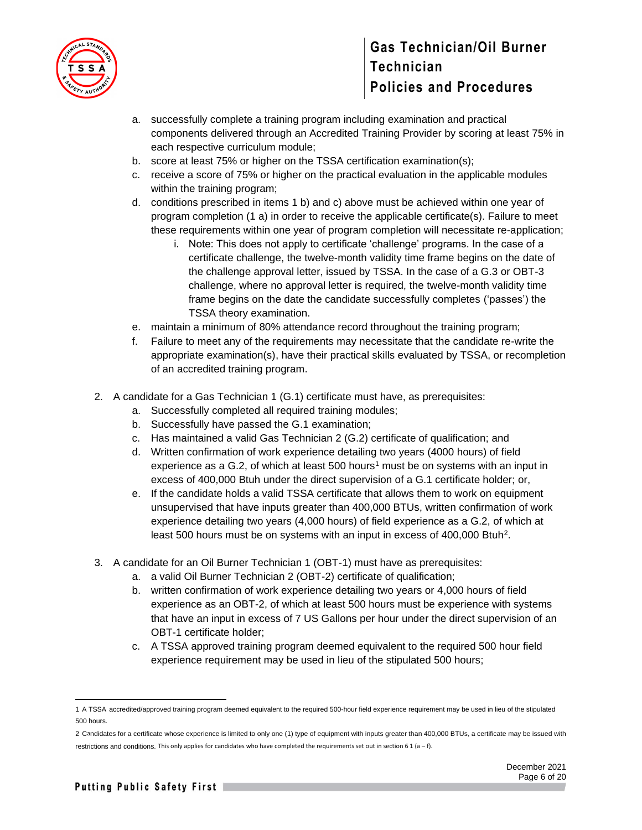

- a. successfully complete a training program including examination and practical components delivered through an Accredited Training Provider by scoring at least 75% in each respective curriculum module;
- b. score at least 75% or higher on the TSSA certification examination(s);
- c. receive a score of 75% or higher on the practical evaluation in the applicable modules within the training program;
- d. conditions prescribed in items 1 b) and c) above must be achieved within one year of program completion (1 a) in order to receive the applicable certificate(s). Failure to meet these requirements within one year of program completion will necessitate re-application;
	- i. Note: This does not apply to certificate 'challenge' programs. In the case of a certificate challenge, the twelve-month validity time frame begins on the date of the challenge approval letter, issued by TSSA. In the case of a G.3 or OBT-3 challenge, where no approval letter is required, the twelve-month validity time frame begins on the date the candidate successfully completes ('passes') the TSSA theory examination.
- e. maintain a minimum of 80% attendance record throughout the training program;
- f. Failure to meet any of the requirements may necessitate that the candidate re-write the appropriate examination(s), have their practical skills evaluated by TSSA, or recompletion of an accredited training program.
- 2. A candidate for a Gas Technician 1 (G.1) certificate must have, as prerequisites:
	- a. Successfully completed all required training modules;
	- b. Successfully have passed the G.1 examination;
	- c. Has maintained a valid Gas Technician 2 (G.2) certificate of qualification; and
	- d. Written confirmation of work experience detailing two years (4000 hours) of field experience as a G.2, of which at least  $500$  hours<sup>1</sup> must be on systems with an input in excess of 400,000 Btuh under the direct supervision of a G.1 certificate holder; or,
	- e. If the candidate holds a valid TSSA certificate that allows them to work on equipment unsupervised that have inputs greater than 400,000 BTUs, written confirmation of work experience detailing two years (4,000 hours) of field experience as a G.2, of which at least 500 hours must be on systems with an input in excess of 400,000 Btuh<sup>2</sup>.
- 3. A candidate for an Oil Burner Technician 1 (OBT-1) must have as prerequisites:
	- a. a valid Oil Burner Technician 2 (OBT-2) certificate of qualification;
	- b. written confirmation of work experience detailing two years or 4,000 hours of field experience as an OBT-2, of which at least 500 hours must be experience with systems that have an input in excess of 7 US Gallons per hour under the direct supervision of an OBT-1 certificate holder;
	- c. A TSSA approved training program deemed equivalent to the required 500 hour field experience requirement may be used in lieu of the stipulated 500 hours;

<sup>1</sup> A TSSA accredited/approved training program deemed equivalent to the required 500-hour field experience requirement may be used in lieu of the stipulated 500 hours.

<sup>2</sup> Candidates for a certificate whose experience is limited to only one (1) type of equipment with inputs greater than 400,000 BTUs, a certificate may be issued with restrictions and conditions. This only applies for candidates who have completed the requirements set out in section 6 1 (a – f).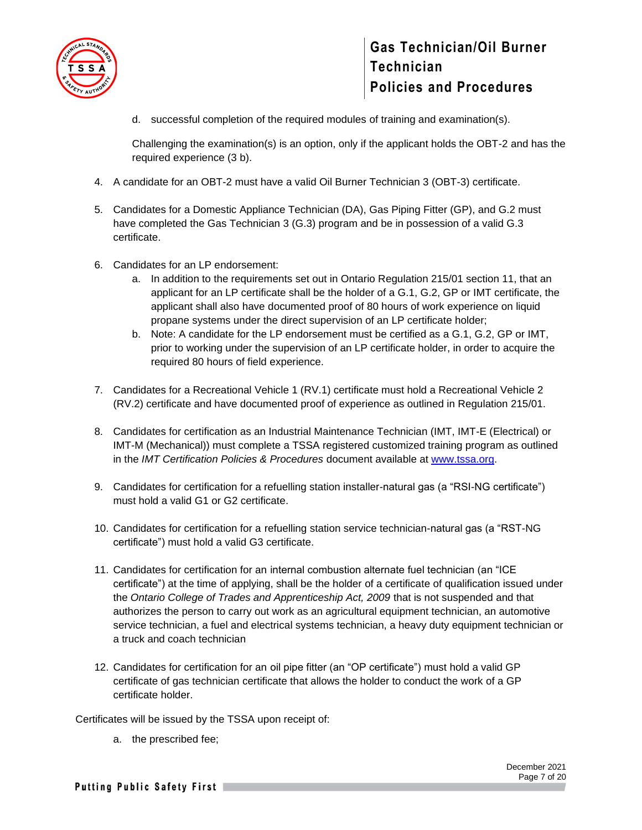

d. successful completion of the required modules of training and examination(s).

Challenging the examination(s) is an option, only if the applicant holds the OBT-2 and has the required experience (3 b).

- 4. A candidate for an OBT-2 must have a valid Oil Burner Technician 3 (OBT-3) certificate.
- 5. Candidates for a Domestic Appliance Technician (DA), Gas Piping Fitter (GP), and G.2 must have completed the Gas Technician 3 (G.3) program and be in possession of a valid G.3 certificate.
- 6. Candidates for an LP endorsement:
	- a. In addition to the requirements set out in Ontario Regulation 215/01 section 11, that an applicant for an LP certificate shall be the holder of a G.1, G.2, GP or IMT certificate, the applicant shall also have documented proof of 80 hours of work experience on liquid propane systems under the direct supervision of an LP certificate holder;
	- b. Note: A candidate for the LP endorsement must be certified as a G.1, G.2, GP or IMT, prior to working under the supervision of an LP certificate holder, in order to acquire the required 80 hours of field experience.
- 7. Candidates for a Recreational Vehicle 1 (RV.1) certificate must hold a Recreational Vehicle 2 (RV.2) certificate and have documented proof of experience as outlined in Regulation 215/01.
- 8. Candidates for certification as an Industrial Maintenance Technician (IMT, IMT-E (Electrical) or IMT-M (Mechanical)) must complete a TSSA registered customized training program as outlined in the *IMT Certification Policies & Procedures* document available at [www.tssa.org.](http://www.tssa.org/)
- 9. Candidates for certification for a refuelling station installer-natural gas (a "RSI-NG certificate") must hold a valid G1 or G2 certificate.
- 10. Candidates for certification for a refuelling station service technician-natural gas (a "RST-NG certificate") must hold a valid G3 certificate.
- 11. Candidates for certification for an internal combustion alternate fuel technician (an "ICE certificate") at the time of applying, shall be the holder of a certificate of qualification issued under the *Ontario College of Trades and Apprenticeship Act, 2009* that is not suspended and that authorizes the person to carry out work as an agricultural equipment technician, an automotive service technician, a fuel and electrical systems technician, a heavy duty equipment technician or a truck and coach technician
- 12. Candidates for certification for an oil pipe fitter (an "OP certificate") must hold a valid GP certificate of gas technician certificate that allows the holder to conduct the work of a GP certificate holder.

Certificates will be issued by the TSSA upon receipt of:

a. the prescribed fee;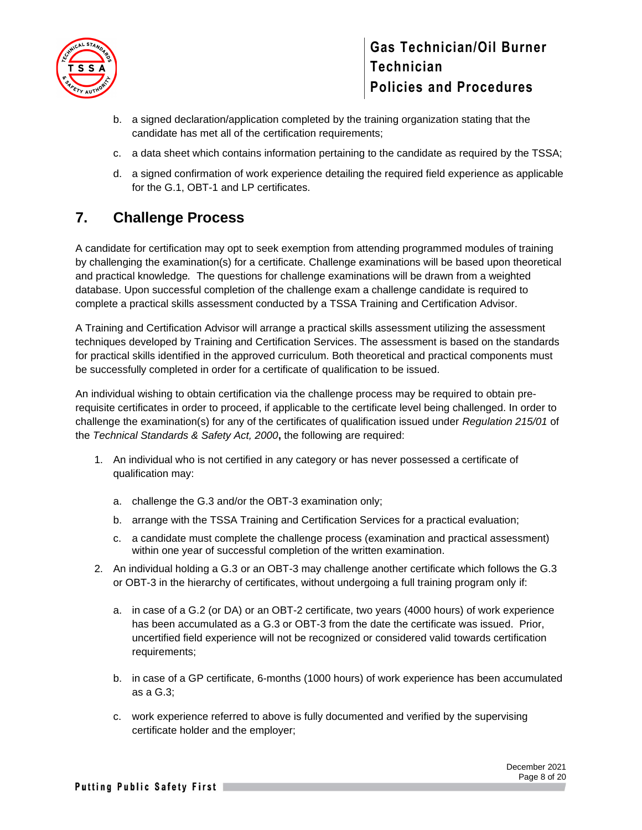

- b. a signed declaration/application completed by the training organization stating that the candidate has met all of the certification requirements;
- c. a data sheet which contains information pertaining to the candidate as required by the TSSA;
- d. a signed confirmation of work experience detailing the required field experience as applicable for the G.1, OBT-1 and LP certificates.

# <span id="page-7-0"></span>**7. Challenge Process**

A candidate for certification may opt to seek exemption from attending programmed modules of training by challenging the examination(s) for a certificate. Challenge examinations will be based upon theoretical and practical knowledge*.* The questions for challenge examinations will be drawn from a weighted database. Upon successful completion of the challenge exam a challenge candidate is required to complete a practical skills assessment conducted by a TSSA Training and Certification Advisor.

A Training and Certification Advisor will arrange a practical skills assessment utilizing the assessment techniques developed by Training and Certification Services. The assessment is based on the standards for practical skills identified in the approved curriculum. Both theoretical and practical components must be successfully completed in order for a certificate of qualification to be issued.

An individual wishing to obtain certification via the challenge process may be required to obtain prerequisite certificates in order to proceed, if applicable to the certificate level being challenged. In order to challenge the examination(s) for any of the certificates of qualification issued under *Regulation 215/01* of the *Technical Standards & Safety Act, 2000***,** the following are required:

- 1. An individual who is not certified in any category or has never possessed a certificate of qualification may:
	- a. challenge the G.3 and/or the OBT-3 examination only;
	- b. arrange with the TSSA Training and Certification Services for a practical evaluation;
	- c. a candidate must complete the challenge process (examination and practical assessment) within one year of successful completion of the written examination.
- 2. An individual holding a G.3 or an OBT-3 may challenge another certificate which follows the G.3 or OBT-3 in the hierarchy of certificates, without undergoing a full training program only if:
	- a. in case of a G.2 (or DA) or an OBT-2 certificate, two years (4000 hours) of work experience has been accumulated as a G.3 or OBT-3 from the date the certificate was issued. Prior, uncertified field experience will not be recognized or considered valid towards certification requirements;
	- b. in case of a GP certificate, 6-months (1000 hours) of work experience has been accumulated as a G.3;
	- c. work experience referred to above is fully documented and verified by the supervising certificate holder and the employer;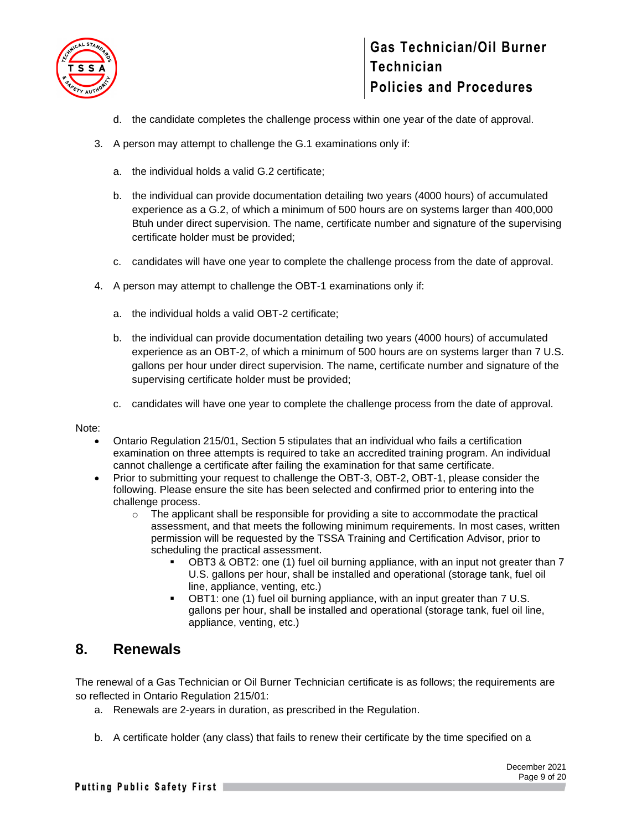

- d. the candidate completes the challenge process within one year of the date of approval.
- 3. A person may attempt to challenge the G.1 examinations only if:
	- a. the individual holds a valid G.2 certificate;
	- b. the individual can provide documentation detailing two years (4000 hours) of accumulated experience as a G.2, of which a minimum of 500 hours are on systems larger than 400,000 Btuh under direct supervision. The name, certificate number and signature of the supervising certificate holder must be provided;
	- c. candidates will have one year to complete the challenge process from the date of approval.
- 4. A person may attempt to challenge the OBT-1 examinations only if:
	- a. the individual holds a valid OBT-2 certificate;
	- b. the individual can provide documentation detailing two years (4000 hours) of accumulated experience as an OBT-2, of which a minimum of 500 hours are on systems larger than 7 U.S. gallons per hour under direct supervision. The name, certificate number and signature of the supervising certificate holder must be provided;
	- c. candidates will have one year to complete the challenge process from the date of approval.

Note:

- Ontario Regulation 215/01, Section 5 stipulates that an individual who fails a certification examination on three attempts is required to take an accredited training program. An individual cannot challenge a certificate after failing the examination for that same certificate.
- Prior to submitting your request to challenge the OBT-3, OBT-2, OBT-1, please consider the following. Please ensure the site has been selected and confirmed prior to entering into the challenge process.
	- $\circ$  The applicant shall be responsible for providing a site to accommodate the practical assessment, and that meets the following minimum requirements. In most cases, written permission will be requested by the TSSA Training and Certification Advisor, prior to scheduling the practical assessment.
		- OBT3 & OBT2: one (1) fuel oil burning appliance, with an input not greater than 7 U.S. gallons per hour, shall be installed and operational (storage tank, fuel oil line, appliance, venting, etc.)
		- OBT1: one (1) fuel oil burning appliance, with an input greater than 7 U.S. gallons per hour, shall be installed and operational (storage tank, fuel oil line, appliance, venting, etc.)

#### <span id="page-8-0"></span>**8. Renewals**

The renewal of a Gas Technician or Oil Burner Technician certificate is as follows; the requirements are so reflected in Ontario Regulation 215/01:

- a. Renewals are 2-years in duration, as prescribed in the Regulation.
- b. A certificate holder (any class) that fails to renew their certificate by the time specified on a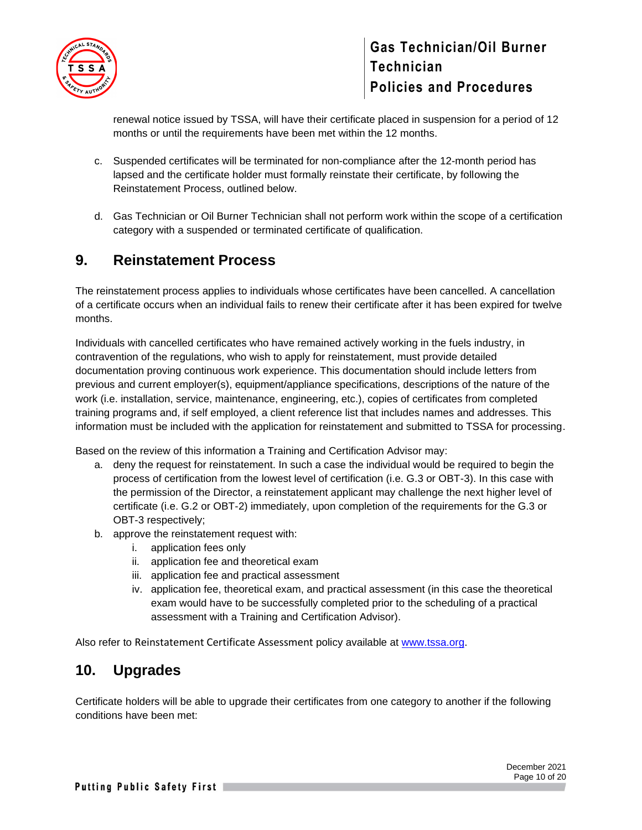

renewal notice issued by TSSA, will have their certificate placed in suspension for a period of 12 months or until the requirements have been met within the 12 months.

- c. Suspended certificates will be terminated for non-compliance after the 12-month period has lapsed and the certificate holder must formally reinstate their certificate, by following the Reinstatement Process, outlined below.
- d. Gas Technician or Oil Burner Technician shall not perform work within the scope of a certification category with a suspended or terminated certificate of qualification.

### <span id="page-9-0"></span>**9. Reinstatement Process**

The reinstatement process applies to individuals whose certificates have been cancelled. A cancellation of a certificate occurs when an individual fails to renew their certificate after it has been expired for twelve months.

Individuals with cancelled certificates who have remained actively working in the fuels industry, in contravention of the regulations, who wish to apply for reinstatement, must provide detailed documentation proving continuous work experience. This documentation should include letters from previous and current employer(s), equipment/appliance specifications, descriptions of the nature of the work (i.e. installation, service, maintenance, engineering, etc.), copies of certificates from completed training programs and, if self employed, a client reference list that includes names and addresses. This information must be included with the application for reinstatement and submitted to TSSA for processing.

Based on the review of this information a Training and Certification Advisor may:

- a. deny the request for reinstatement. In such a case the individual would be required to begin the process of certification from the lowest level of certification (i.e. G.3 or OBT-3). In this case with the permission of the Director, a reinstatement applicant may challenge the next higher level of certificate (i.e. G.2 or OBT-2) immediately, upon completion of the requirements for the G.3 or OBT-3 respectively;
- b. approve the reinstatement request with:
	- i. application fees only
	- ii. application fee and theoretical exam
	- iii. application fee and practical assessment
	- iv. application fee, theoretical exam, and practical assessment (in this case the theoretical exam would have to be successfully completed prior to the scheduling of a practical assessment with a Training and Certification Advisor).

Also refer to Reinstatement Certificate Assessment policy available at [www.tssa.org.](http://www.tssa.org/)

### <span id="page-9-1"></span>**10. Upgrades**

Certificate holders will be able to upgrade their certificates from one category to another if the following conditions have been met: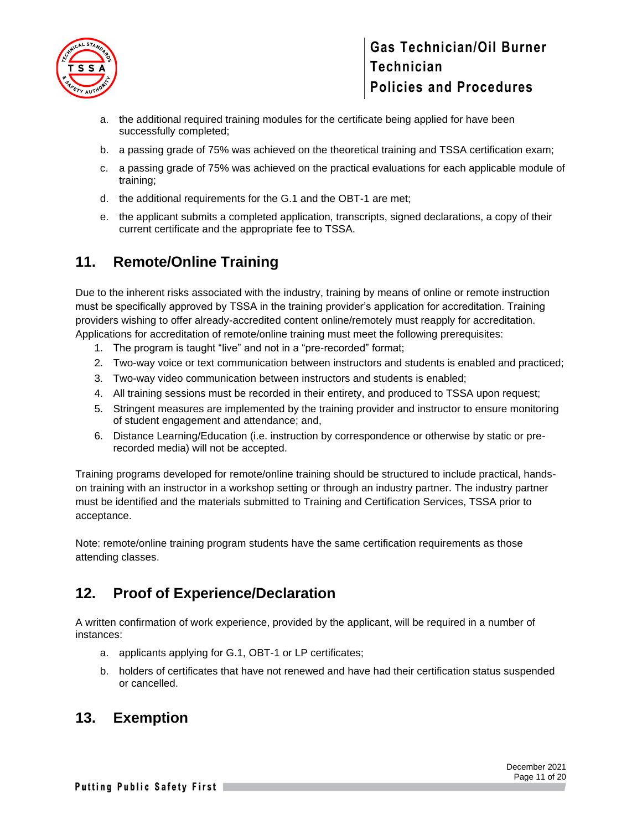

- a. the additional required training modules for the certificate being applied for have been successfully completed;
- b. a passing grade of 75% was achieved on the theoretical training and TSSA certification exam;
- c. a passing grade of 75% was achieved on the practical evaluations for each applicable module of training;
- d. the additional requirements for the G.1 and the OBT-1 are met;
- e. the applicant submits a completed application, transcripts, signed declarations, a copy of their current certificate and the appropriate fee to TSSA.

### <span id="page-10-0"></span>**11. Remote/Online Training**

Due to the inherent risks associated with the industry, training by means of online or remote instruction must be specifically approved by TSSA in the training provider's application for accreditation. Training providers wishing to offer already-accredited content online/remotely must reapply for accreditation. Applications for accreditation of remote/online training must meet the following prerequisites:

- 1. The program is taught "live" and not in a "pre-recorded" format;
- 2. Two-way voice or text communication between instructors and students is enabled and practiced;
- 3. Two-way video communication between instructors and students is enabled;
- 4. All training sessions must be recorded in their entirety, and produced to TSSA upon request;
- 5. Stringent measures are implemented by the training provider and instructor to ensure monitoring of student engagement and attendance; and,
- 6. Distance Learning/Education (i.e. instruction by correspondence or otherwise by static or prerecorded media) will not be accepted.

Training programs developed for remote/online training should be structured to include practical, handson training with an instructor in a workshop setting or through an industry partner. The industry partner must be identified and the materials submitted to Training and Certification Services, TSSA prior to acceptance.

Note: remote/online training program students have the same certification requirements as those attending classes.

### <span id="page-10-1"></span>**12. Proof of Experience/Declaration**

A written confirmation of work experience, provided by the applicant, will be required in a number of instances:

- a. applicants applying for G.1, OBT-1 or LP certificates;
- b. holders of certificates that have not renewed and have had their certification status suspended or cancelled.

#### <span id="page-10-2"></span>**13. Exemption**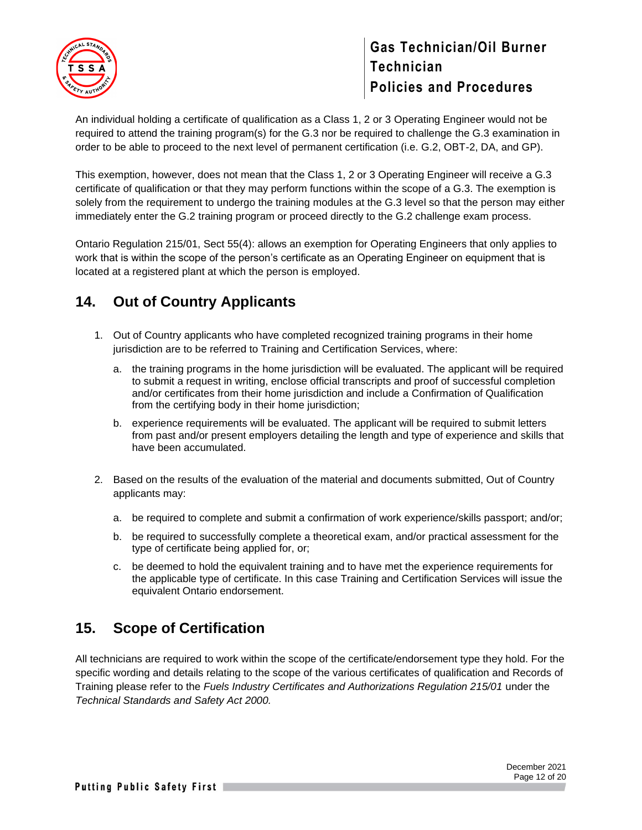

An individual holding a certificate of qualification as a Class 1, 2 or 3 Operating Engineer would not be required to attend the training program(s) for the G.3 nor be required to challenge the G.3 examination in order to be able to proceed to the next level of permanent certification (i.e. G.2, OBT-2, DA, and GP).

This exemption, however, does not mean that the Class 1, 2 or 3 Operating Engineer will receive a G.3 certificate of qualification or that they may perform functions within the scope of a G.3. The exemption is solely from the requirement to undergo the training modules at the G.3 level so that the person may either immediately enter the G.2 training program or proceed directly to the G.2 challenge exam process.

Ontario Regulation 215/01, Sect 55(4): allows an exemption for Operating Engineers that only applies to work that is within the scope of the person's certificate as an Operating Engineer on equipment that is located at a registered plant at which the person is employed.

### <span id="page-11-0"></span>**14. Out of Country Applicants**

- 1. Out of Country applicants who have completed recognized training programs in their home jurisdiction are to be referred to Training and Certification Services, where:
	- a. the training programs in the home jurisdiction will be evaluated. The applicant will be required to submit a request in writing, enclose official transcripts and proof of successful completion and/or certificates from their home jurisdiction and include a Confirmation of Qualification from the certifying body in their home jurisdiction;
	- b. experience requirements will be evaluated. The applicant will be required to submit letters from past and/or present employers detailing the length and type of experience and skills that have been accumulated.
- 2. Based on the results of the evaluation of the material and documents submitted, Out of Country applicants may:
	- a. be required to complete and submit a confirmation of work experience/skills passport; and/or;
	- b. be required to successfully complete a theoretical exam, and/or practical assessment for the type of certificate being applied for, or;
	- c. be deemed to hold the equivalent training and to have met the experience requirements for the applicable type of certificate. In this case Training and Certification Services will issue the equivalent Ontario endorsement.

### <span id="page-11-1"></span>**15. Scope of Certification**

All technicians are required to work within the scope of the certificate/endorsement type they hold. For the specific wording and details relating to the scope of the various certificates of qualification and Records of Training please refer to the *Fuels Industry Certificates and Authorizations Regulation 215/01* under the *Technical Standards and Safety Act 2000.*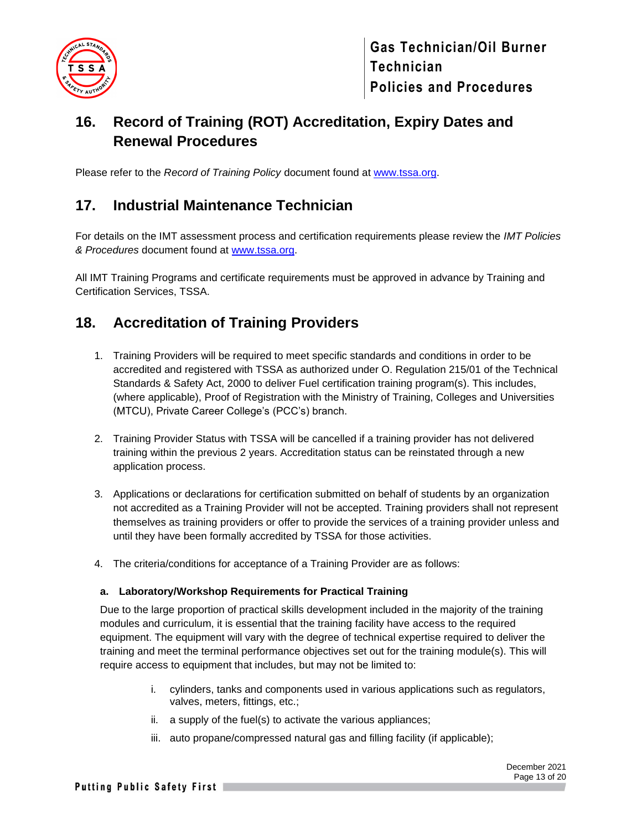

# <span id="page-12-0"></span>**16. Record of Training (ROT) Accreditation, Expiry Dates and Renewal Procedures**

Please refer to the *Record of Training Policy* document found at [www.tssa.org.](http://www.tssa.org/)

### <span id="page-12-1"></span>**17. Industrial Maintenance Technician**

For details on the IMT assessment process and certification requirements please review the *IMT Policies & Procedures* document found at [www.tssa.org.](http://www.tssa.org/)

All IMT Training Programs and certificate requirements must be approved in advance by Training and Certification Services, TSSA.

### <span id="page-12-2"></span>**18. Accreditation of Training Providers**

- 1. Training Providers will be required to meet specific standards and conditions in order to be accredited and registered with TSSA as authorized under O. Regulation 215/01 of the Technical Standards & Safety Act, 2000 to deliver Fuel certification training program(s). This includes, (where applicable), Proof of Registration with the Ministry of Training, Colleges and Universities (MTCU), Private Career College's (PCC's) branch.
- 2. Training Provider Status with TSSA will be cancelled if a training provider has not delivered training within the previous 2 years. Accreditation status can be reinstated through a new application process.
- 3. Applications or declarations for certification submitted on behalf of students by an organization not accredited as a Training Provider will not be accepted. Training providers shall not represent themselves as training providers or offer to provide the services of a training provider unless and until they have been formally accredited by TSSA for those activities.
- 4. The criteria/conditions for acceptance of a Training Provider are as follows:

#### **a. Laboratory/Workshop Requirements for Practical Training**

Due to the large proportion of practical skills development included in the majority of the training modules and curriculum, it is essential that the training facility have access to the required equipment. The equipment will vary with the degree of technical expertise required to deliver the training and meet the terminal performance objectives set out for the training module(s). This will require access to equipment that includes, but may not be limited to:

- i. cylinders, tanks and components used in various applications such as regulators, valves, meters, fittings, etc.;
- ii. a supply of the fuel(s) to activate the various appliances;
- iii. auto propane/compressed natural gas and filling facility (if applicable);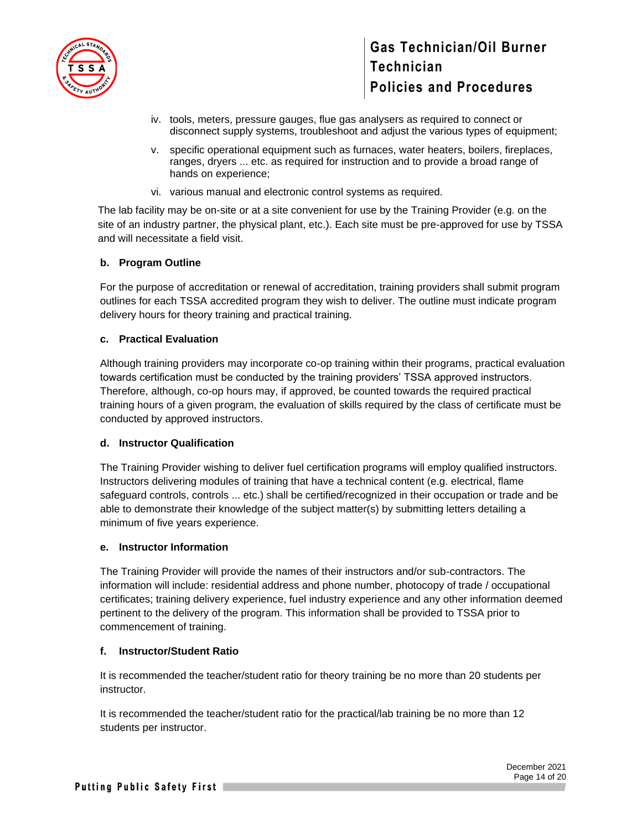

- iv. tools, meters, pressure gauges, flue gas analysers as required to connect or disconnect supply systems, troubleshoot and adjust the various types of equipment;
- v. specific operational equipment such as furnaces, water heaters, boilers, fireplaces, ranges, dryers ... etc. as required for instruction and to provide a broad range of hands on experience;
- vi. various manual and electronic control systems as required.

The lab facility may be on-site or at a site convenient for use by the Training Provider (e.g. on the site of an industry partner, the physical plant, etc.). Each site must be pre-approved for use by TSSA and will necessitate a field visit.

#### **b. Program Outline**

For the purpose of accreditation or renewal of accreditation, training providers shall submit program outlines for each TSSA accredited program they wish to deliver. The outline must indicate program delivery hours for theory training and practical training.

#### **c. Practical Evaluation**

Although training providers may incorporate co-op training within their programs, practical evaluation towards certification must be conducted by the training providers' TSSA approved instructors. Therefore, although, co-op hours may, if approved, be counted towards the required practical training hours of a given program, the evaluation of skills required by the class of certificate must be conducted by approved instructors.

#### **d. Instructor Qualification**

The Training Provider wishing to deliver fuel certification programs will employ qualified instructors. Instructors delivering modules of training that have a technical content (e.g. electrical, flame safeguard controls, controls ... etc.) shall be certified/recognized in their occupation or trade and be able to demonstrate their knowledge of the subject matter(s) by submitting letters detailing a minimum of five years experience.

#### **e. Instructor Information**

The Training Provider will provide the names of their instructors and/or sub-contractors. The information will include: residential address and phone number, photocopy of trade / occupational certificates; training delivery experience, fuel industry experience and any other information deemed pertinent to the delivery of the program. This information shall be provided to TSSA prior to commencement of training.

#### **f. Instructor/Student Ratio**

It is recommended the teacher/student ratio for theory training be no more than 20 students per instructor.

It is recommended the teacher/student ratio for the practical/lab training be no more than 12 students per instructor.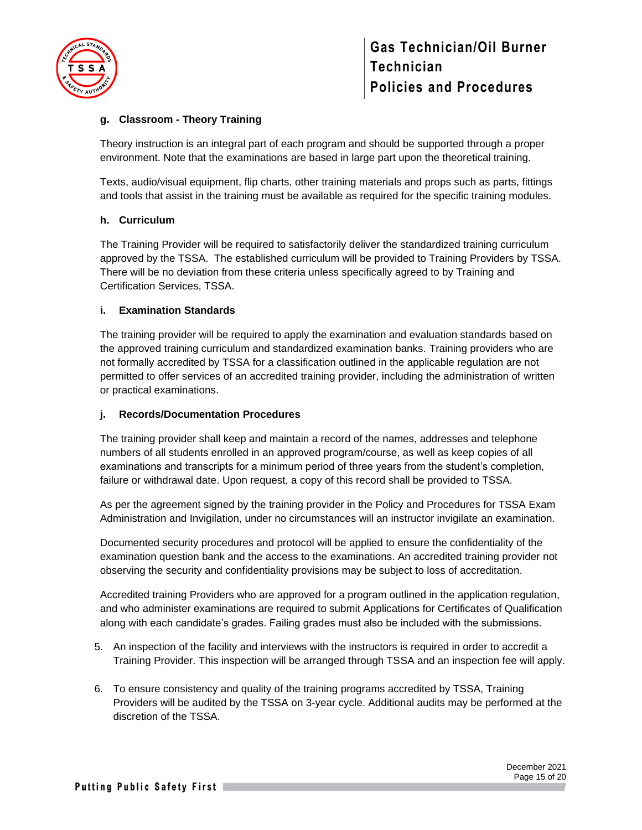

#### **g. Classroom - Theory Training**

Theory instruction is an integral part of each program and should be supported through a proper environment. Note that the examinations are based in large part upon the theoretical training.

Texts, audio/visual equipment, flip charts, other training materials and props such as parts, fittings and tools that assist in the training must be available as required for the specific training modules.

#### **h. Curriculum**

The Training Provider will be required to satisfactorily deliver the standardized training curriculum approved by the TSSA. The established curriculum will be provided to Training Providers by TSSA. There will be no deviation from these criteria unless specifically agreed to by Training and Certification Services, TSSA.

#### **i. Examination Standards**

The training provider will be required to apply the examination and evaluation standards based on the approved training curriculum and standardized examination banks. Training providers who are not formally accredited by TSSA for a classification outlined in the applicable regulation are not permitted to offer services of an accredited training provider, including the administration of written or practical examinations.

#### **j. Records/Documentation Procedures**

The training provider shall keep and maintain a record of the names, addresses and telephone numbers of all students enrolled in an approved program/course, as well as keep copies of all examinations and transcripts for a minimum period of three years from the student's completion, failure or withdrawal date. Upon request, a copy of this record shall be provided to TSSA.

As per the agreement signed by the training provider in the Policy and Procedures for TSSA Exam Administration and Invigilation, under no circumstances will an instructor invigilate an examination.

Documented security procedures and protocol will be applied to ensure the confidentiality of the examination question bank and the access to the examinations. An accredited training provider not observing the security and confidentiality provisions may be subject to loss of accreditation.

Accredited training Providers who are approved for a program outlined in the application regulation, and who administer examinations are required to submit Applications for Certificates of Qualification along with each candidate's grades. Failing grades must also be included with the submissions.

- 5. An inspection of the facility and interviews with the instructors is required in order to accredit a Training Provider. This inspection will be arranged through TSSA and an inspection fee will apply.
- 6. To ensure consistency and quality of the training programs accredited by TSSA, Training Providers will be audited by the TSSA on 3-year cycle. Additional audits may be performed at the discretion of the TSSA.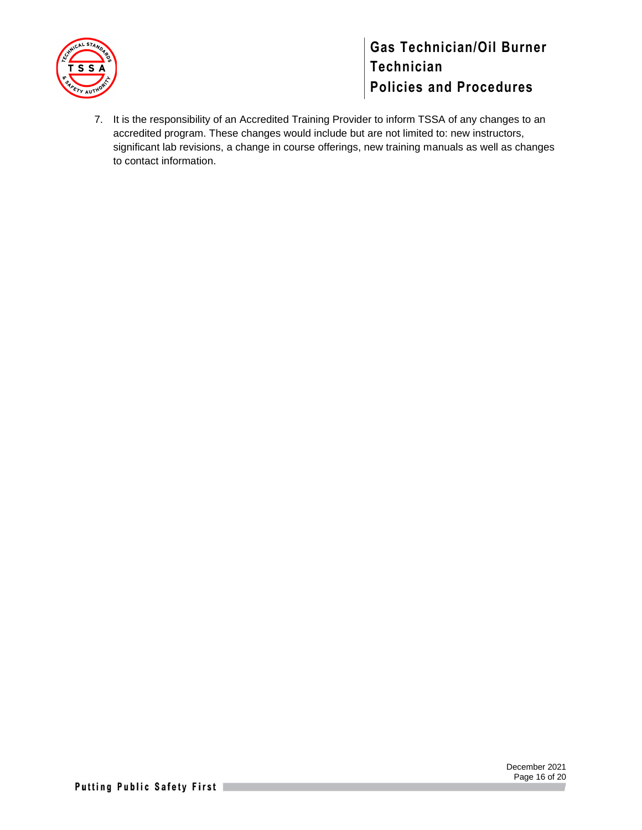

7. It is the responsibility of an Accredited Training Provider to inform TSSA of any changes to an accredited program. These changes would include but are not limited to: new instructors, significant lab revisions, a change in course offerings, new training manuals as well as changes to contact information.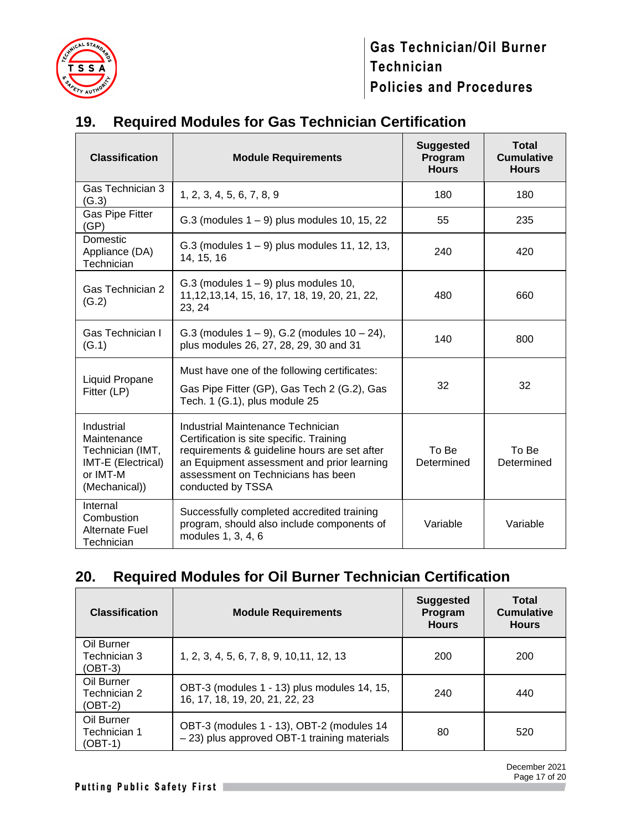

# <span id="page-16-0"></span>**19. Required Modules for Gas Technician Certification**

| <b>Classification</b>                                                                            | <b>Module Requirements</b>                                                                                                                                                                                                             | <b>Suggested</b><br>Program<br><b>Hours</b> | <b>Total</b><br><b>Cumulative</b><br><b>Hours</b> |
|--------------------------------------------------------------------------------------------------|----------------------------------------------------------------------------------------------------------------------------------------------------------------------------------------------------------------------------------------|---------------------------------------------|---------------------------------------------------|
| Gas Technician 3<br>(G.3)                                                                        | 1, 2, 3, 4, 5, 6, 7, 8, 9                                                                                                                                                                                                              | 180                                         | 180                                               |
| Gas Pipe Fitter<br>(GP)                                                                          | $G.3$ (modules $1 - 9$ ) plus modules 10, 15, 22                                                                                                                                                                                       | 55                                          | 235                                               |
| Domestic<br>Appliance (DA)<br>Technician                                                         | $G.3$ (modules $1 - 9$ ) plus modules 11, 12, 13,<br>14, 15, 16                                                                                                                                                                        | 240                                         | 420                                               |
| Gas Technician 2<br>(G.2)                                                                        | $G.3$ (modules $1 - 9$ ) plus modules 10,<br>11, 12, 13, 14, 15, 16, 17, 18, 19, 20, 21, 22,<br>23, 24                                                                                                                                 | 480                                         | 660                                               |
| Gas Technician I<br>(G.1)                                                                        | G.3 (modules $1 - 9$ ), G.2 (modules $10 - 24$ ),<br>plus modules 26, 27, 28, 29, 30 and 31                                                                                                                                            | 140                                         | 800                                               |
| Liquid Propane<br>Fitter (LP)                                                                    | Must have one of the following certificates:<br>Gas Pipe Fitter (GP), Gas Tech 2 (G.2), Gas<br>Tech. 1 (G.1), plus module 25                                                                                                           | 32                                          | 32                                                |
| Industrial<br>Maintenance<br>Technician (IMT,<br>IMT-E (Electrical)<br>or IMT-M<br>(Mechanical)) | Industrial Maintenance Technician<br>Certification is site specific. Training<br>requirements & guideline hours are set after<br>an Equipment assessment and prior learning<br>assessment on Technicians has been<br>conducted by TSSA | To Be<br>Determined                         | To Be<br>Determined                               |
| Internal<br>Combustion<br><b>Alternate Fuel</b><br>Technician                                    | Successfully completed accredited training<br>program, should also include components of<br>modules 1, 3, 4, 6                                                                                                                         | Variable                                    | Variable                                          |

# <span id="page-16-1"></span>**20. Required Modules for Oil Burner Technician Certification**

| <b>Classification</b>                   | <b>Module Requirements</b>                                                                | <b>Suggested</b><br>Program<br><b>Hours</b> | Total<br><b>Cumulative</b><br><b>Hours</b> |
|-----------------------------------------|-------------------------------------------------------------------------------------------|---------------------------------------------|--------------------------------------------|
| Oil Burner<br>Technician 3<br>(OBT-3)   | 1, 2, 3, 4, 5, 6, 7, 8, 9, 10, 11, 12, 13                                                 | 200                                         | 200                                        |
| Oil Burner<br>Technician 2<br>$(OBT-2)$ | OBT-3 (modules 1 - 13) plus modules 14, 15,<br>16, 17, 18, 19, 20, 21, 22, 23             | 240                                         | 440                                        |
| Oil Burner<br>Technician 1<br>$(OBT-1)$ | OBT-3 (modules 1 - 13), OBT-2 (modules 14<br>- 23) plus approved OBT-1 training materials | 80                                          | 520                                        |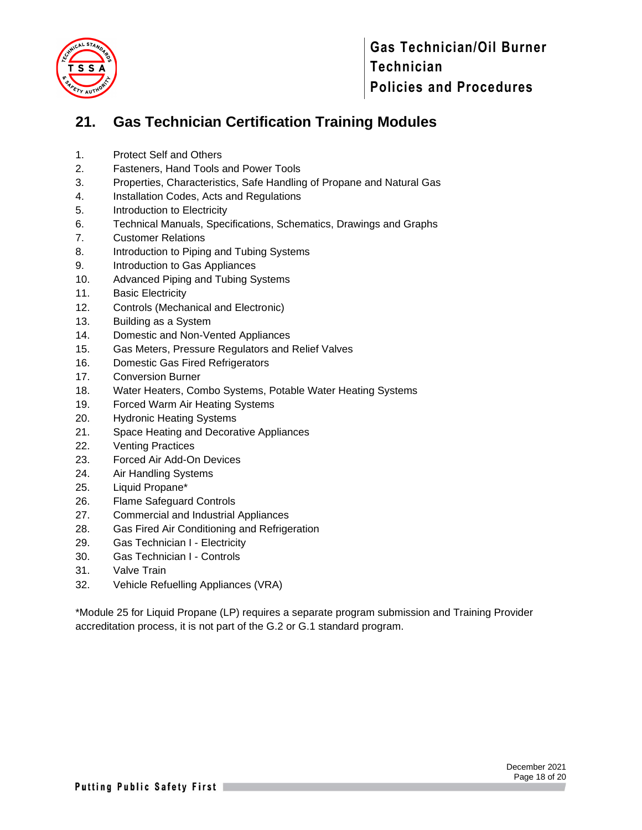

# <span id="page-17-0"></span>**21. Gas Technician Certification Training Modules**

- 1. Protect Self and Others
- 2. Fasteners, Hand Tools and Power Tools
- 3. Properties, Characteristics, Safe Handling of Propane and Natural Gas
- 4. Installation Codes, Acts and Regulations
- 5. Introduction to Electricity
- 6. Technical Manuals, Specifications, Schematics, Drawings and Graphs
- 7. Customer Relations
- 8. Introduction to Piping and Tubing Systems
- 9. Introduction to Gas Appliances
- 10. Advanced Piping and Tubing Systems
- 11. Basic Electricity
- 12. Controls (Mechanical and Electronic)
- 13. Building as a System
- 14. Domestic and Non-Vented Appliances
- 15. Gas Meters, Pressure Regulators and Relief Valves
- 16. Domestic Gas Fired Refrigerators
- 17. Conversion Burner
- 18. Water Heaters, Combo Systems, Potable Water Heating Systems
- 19. Forced Warm Air Heating Systems
- 20. Hydronic Heating Systems
- 21. Space Heating and Decorative Appliances
- 22. Venting Practices
- 23. Forced Air Add-On Devices
- 24. Air Handling Systems
- 25. Liquid Propane\*
- 26. Flame Safeguard Controls
- 27. Commercial and Industrial Appliances
- 28. Gas Fired Air Conditioning and Refrigeration
- 29. Gas Technician I Electricity
- 30. Gas Technician I Controls
- 31. Valve Train
- 32. Vehicle Refuelling Appliances (VRA)

\*Module 25 for Liquid Propane (LP) requires a separate program submission and Training Provider accreditation process, it is not part of the G.2 or G.1 standard program.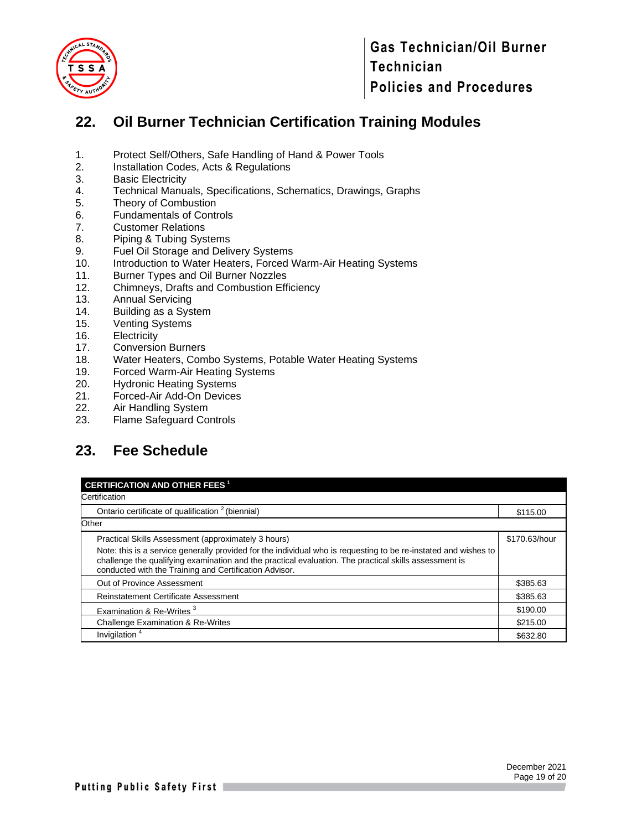

### <span id="page-18-0"></span>**22. Oil Burner Technician Certification Training Modules**

- 1. Protect Self/Others, Safe Handling of Hand & Power Tools
- 2. Installation Codes, Acts & Regulations
- 3. Basic Electricity
- 4. Technical Manuals, Specifications, Schematics, Drawings, Graphs
- 5. Theory of Combustion
- 6. Fundamentals of Controls
- 7. Customer Relations
- 8. Piping & Tubing Systems
- 9. Fuel Oil Storage and Delivery Systems
- 10. Introduction to Water Heaters, Forced Warm-Air Heating Systems
- 11. Burner Types and Oil Burner Nozzles
- 12. Chimneys, Drafts and Combustion Efficiency
- 13. Annual Servicing<br>14. Building as a Sys
- Building as a System
- 15. Venting Systems
- 16. Electricity<br>17. Conversio
- **Conversion Burners**
- 18. Water Heaters, Combo Systems, Potable Water Heating Systems
- 19. Forced Warm-Air Heating Systems
- 20. Hydronic Heating Systems
- 21. Forced-Air Add-On Devices
- 22. Air Handling System
- 23. Flame Safeguard Controls

### <span id="page-18-1"></span>**23. Fee Schedule**

| <b>CERTIFICATION AND OTHER FEES<sup>1</sup></b>                                                                                                                                                                                                                                    |               |  |  |  |  |
|------------------------------------------------------------------------------------------------------------------------------------------------------------------------------------------------------------------------------------------------------------------------------------|---------------|--|--|--|--|
| Certification                                                                                                                                                                                                                                                                      |               |  |  |  |  |
| Ontario certificate of qualification <sup>2</sup> (biennial)                                                                                                                                                                                                                       | \$115.00      |  |  |  |  |
| Other                                                                                                                                                                                                                                                                              |               |  |  |  |  |
| Practical Skills Assessment (approximately 3 hours)                                                                                                                                                                                                                                | \$170.63/hour |  |  |  |  |
| Note: this is a service generally provided for the individual who is requesting to be re-instated and wishes to<br>challenge the qualifying examination and the practical evaluation. The practical skills assessment is<br>conducted with the Training and Certification Advisor. |               |  |  |  |  |
| Out of Province Assessment                                                                                                                                                                                                                                                         | \$385.63      |  |  |  |  |
| <b>Reinstatement Certificate Assessment</b>                                                                                                                                                                                                                                        | \$385.63      |  |  |  |  |
| Examination & Re-Writes <sup>3</sup>                                                                                                                                                                                                                                               | \$190.00      |  |  |  |  |
| <b>Challenge Examination &amp; Re-Writes</b>                                                                                                                                                                                                                                       | \$215.00      |  |  |  |  |
| Invigilation <sup>4</sup>                                                                                                                                                                                                                                                          | \$632.80      |  |  |  |  |